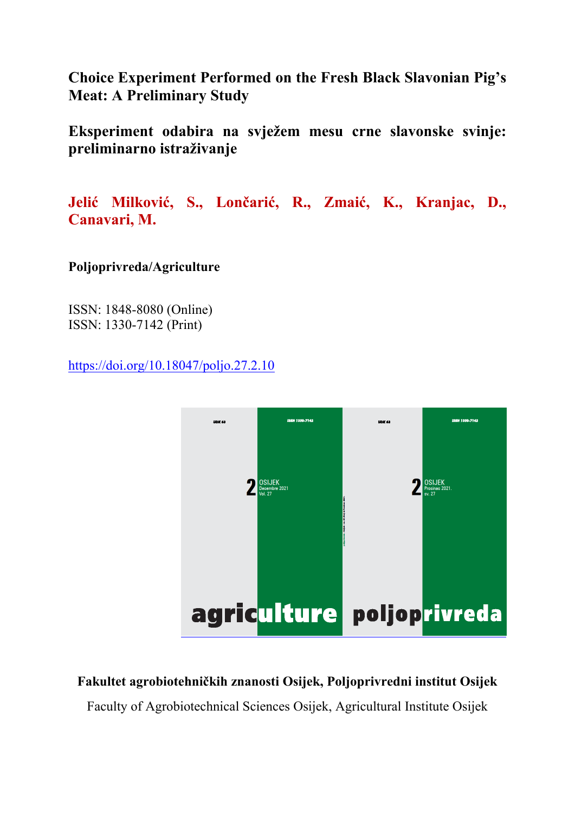**Choice Experiment Performed on the Fresh Black Slavonian Pig's Meat: A Preliminary Study** 

**Eksperiment odabira na svježem mesu crne slavonske svinje: preliminarno istraživanje** 

**Jelić Milković, S., Lončarić, R., Zmaić, K., Kranjac, D., Canavari, M.** 

**Poljoprivreda/Agriculture** 

ISSN: 1848-8080 (Online) ISSN: 1330-7142 (Print)

https://doi.org/10.18047/poljo.27.2.10



**Fakultet agrobiotehničkih znanosti Osijek, Poljoprivredni institut Osijek** 

Faculty of Agrobiotechnical Sciences Osijek, Agricultural Institute Osijek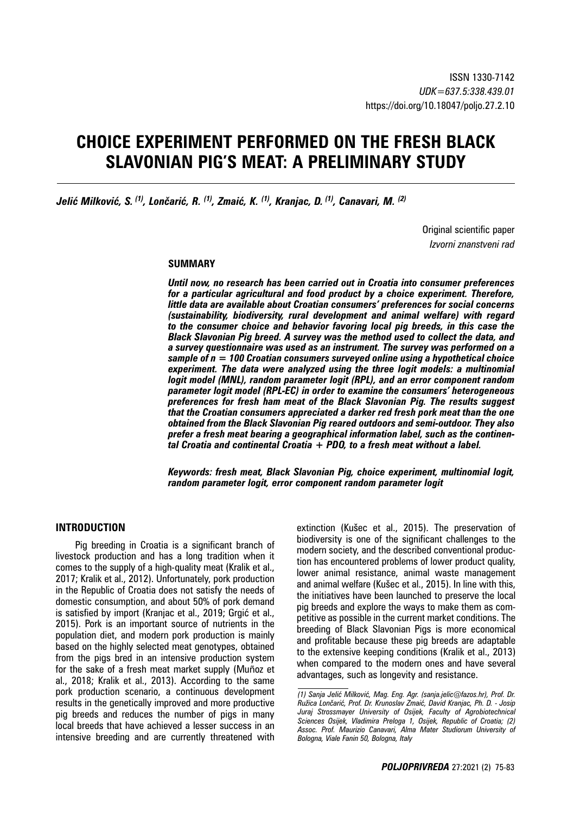# **CHOICE EXPERIMENT PERFORMED ON THE FRESH BLACK SLAVONIAN PIG'S MEAT: A PRELIMINARY STUDY**

*Jelić Milković, S. (1), Lončarić, R. (1), Zmaić, K. (1), Kranjac, D. (1), Canavari, M. (2)*

Original scientific paper *Izvorni znanstveni rad*

## **SUMMARY**

*Until now, no research has been carried out in Croatia into consumer preferences for a particular agricultural and food product by a choice experiment. Therefore, little data are available about Croatian consumers' preferences for social concerns (sustainability, biodiversity, rural development and animal welfare) with regard to the consumer choice and behavior favoring local pig breeds, in this case the Black Slavonian Pig breed. A survey was the method used to collect the data, and a survey questionnaire was used as an instrument. The survey was performed on a sample of n = 100 Croatian consumers surveyed online using a hypothetical choice experiment. The data were analyzed using the three logit models: a multinomial logit model (MNL), random parameter logit (RPL), and an error component random parameter logit model (RPL-EC) in order to examine the consumers' heterogeneous preferences for fresh ham meat of the Black Slavonian Pig. The results suggest that the Croatian consumers appreciated a darker red fresh pork meat than the one obtained from the Black Slavonian Pig reared outdoors and semi-outdoor. They also prefer a fresh meat bearing a geographical information label, such as the continental Croatia and continental Croatia + PDO, to a fresh meat without a label.*

*Keywords: fresh meat, Black Slavonian Pig, choice experiment, multinomial logit, random parameter logit, error component random parameter logit*

# **INTRODUCTION**

Pig breeding in Croatia is a significant branch of livestock production and has a long tradition when it comes to the supply of a high-quality meat (Kralik et al., 2017; Kralik et al., 2012). Unfortunately, pork production in the Republic of Croatia does not satisfy the needs of domestic consumption, and about 50% of pork demand is satisfied by import (Kranjac et al., 2019; Grgić et al., 2015). Pork is an important source of nutrients in the population diet, and modern pork production is mainly based on the highly selected meat genotypes, obtained from the pigs bred in an intensive production system for the sake of a fresh meat market supply (Muñoz et al., 2018; Kralik et al., 2013). According to the same pork production scenario, a continuous development results in the genetically improved and more productive pig breeds and reduces the number of pigs in many local breeds that have achieved a lesser success in an intensive breeding and are currently threatened with

extinction (Kušec et al., 2015). The preservation of biodiversity is one of the significant challenges to the modern society, and the described conventional production has encountered problems of lower product quality, lower animal resistance, animal waste management and animal welfare (Kušec et al., 2015). In line with this, the initiatives have been launched to preserve the local pig breeds and explore the ways to make them as competitive as possible in the current market conditions. The breeding of Black Slavonian Pigs is more economical and profitable because these pig breeds are adaptable to the extensive keeping conditions (Kralik et al., 2013) when compared to the modern ones and have several advantages, such as longevity and resistance.

*<sup>(1)</sup> Sanja Jelić Milković, Mag. Eng. Agr. (sanja.jelic@fazos.hr), Prof. Dr. Ružica Lončarić, Prof. Dr. Krunoslav Zmaić, David Kranjac, Ph. D. - Josip Juraj Strossmayer University of Osijek, Faculty of Agrobiotechnical Sciences Osijek, Vladimira Preloga 1, Osijek, Republic of Croatia; (2) Assoc. Prof. Maurizio Canavari, Alma Mater Studiorum University of Bologna, Viale Fanin 50, Bologna, Italy*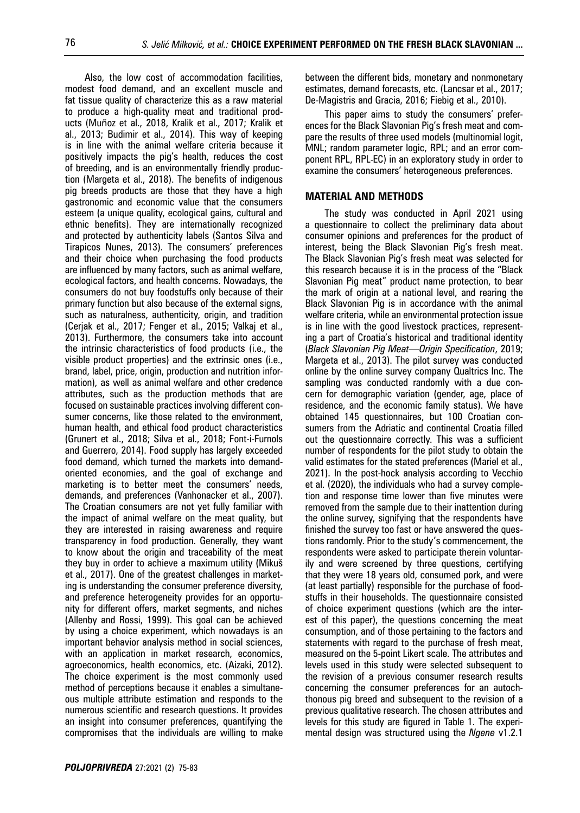Also, the low cost of accommodation facilities, modest food demand, and an excellent muscle and fat tissue quality of characterize this as a raw material to produce a high-quality meat and traditional products (Muñoz et al., 2018, Kralik et al., 2017; Kralik et al., 2013; Budimir et al., 2014). This way of keeping is in line with the animal welfare criteria because it positively impacts the pig's health, reduces the cost of breeding, and is an environmentally friendly production (Margeta et al., 2018). The benefits of indigenous pig breeds products are those that they have a high gastronomic and economic value that the consumers esteem (a unique quality, ecological gains, cultural and ethnic benefits). They are internationally recognized and protected by authenticity labels (Santos Silva and Tirapicos Nunes, 2013). The consumers' preferences and their choice when purchasing the food products are influenced by many factors, such as animal welfare, ecological factors, and health concerns. Nowadays, the consumers do not buy foodstuffs only because of their primary function but also because of the external signs, such as naturalness, authenticity, origin, and tradition (Cerjak et al., 2017; Fenger et al., 2015; Valkaj et al., 2013). Furthermore, the consumers take into account the intrinsic characteristics of food products (i.e., the visible product properties) and the extrinsic ones (i.e., brand, label, price, origin, production and nutrition information), as well as animal welfare and other credence attributes, such as the production methods that are focused on sustainable practices involving different consumer concerns, like those related to the environment, human health, and ethical food product characteristics (Grunert et al., 2018; Silva et al., 2018; Font-i-Furnols and Guerrero, 2014). Food supply has largely exceeded food demand, which turned the markets into demandoriented economies, and the goal of exchange and marketing is to better meet the consumers' needs, demands, and preferences (Vanhonacker et al., 2007). The Croatian consumers are not yet fully familiar with the impact of animal welfare on the meat quality, but they are interested in raising awareness and require transparency in food production. Generally, they want to know about the origin and traceability of the meat they buy in order to achieve a maximum utility (Mikuš et al., 2017). One of the greatest challenges in marketing is understanding the consumer preference diversity, and preference heterogeneity provides for an opportunity for different offers, market segments, and niches (Allenby and Rossi, 1999). This goal can be achieved by using a choice experiment, which nowadays is an important behavior analysis method in social sciences, with an application in market research, economics, agroeconomics, health economics, etc. (Aizaki, 2012). The choice experiment is the most commonly used method of perceptions because it enables a simultaneous multiple attribute estimation and responds to the numerous scientific and research questions. It provides an insight into consumer preferences, quantifying the compromises that the individuals are willing to make between the different bids, monetary and nonmonetary estimates, demand forecasts, etc. (Lancsar et al., 2017; De-Magistris and Gracia, 2016; Fiebig et al., 2010).

This paper aims to study the consumers' preferences for the Black Slavonian Pig's fresh meat and compare the results of three used models (multinomial logit, MNL; random parameter logic, RPL; and an error component RPL, RPL-EC) in an exploratory study in order to examine the consumers' heterogeneous preferences.

#### **MATERIAL AND METHODS**

The study was conducted in April 2021 using a questionnaire to collect the preliminary data about consumer opinions and preferences for the product of interest, being the Black Slavonian Pig's fresh meat. The Black Slavonian Pig's fresh meat was selected for this research because it is in the process of the "Black Slavonian Pig meat" product name protection, to bear the mark of origin at a national level, and rearing the Black Slavonian Pig is in accordance with the animal welfare criteria, while an environmental protection issue is in line with the good livestock practices, representing a part of Croatia's historical and traditional identity (*Black Slavonian Pig Meat—Origin Specification*, 2019; Margeta et al., 2013). The pilot survey was conducted online by the online survey company Qualtrics Inc. The sampling was conducted randomly with a due concern for demographic variation (gender, age, place of residence, and the economic family status). We have obtained 145 questionnaires, but 100 Croatian consumers from the Adriatic and continental Croatia filled out the questionnaire correctly. This was a sufficient number of respondents for the pilot study to obtain the valid estimates for the stated preferences (Mariel et al., 2021). In the post-hock analysis according to Vecchio et al. (2020), the individuals who had a survey completion and response time lower than five minutes were removed from the sample due to their inattention during the online survey, signifying that the respondents have finished the survey too fast or have answered the questions randomly. Prior to the study's commencement, the respondents were asked to participate therein voluntarily and were screened by three questions, certifying that they were 18 years old, consumed pork, and were (at least partially) responsible for the purchase of foodstuffs in their households. The questionnaire consisted of choice experiment questions (which are the interest of this paper), the questions concerning the meat consumption, and of those pertaining to the factors and statements with regard to the purchase of fresh meat, measured on the 5-point Likert scale. The attributes and levels used in this study were selected subsequent to the revision of a previous consumer research results concerning the consumer preferences for an autochthonous pig breed and subsequent to the revision of a previous qualitative research. The chosen attributes and levels for this study are figured in Table 1. The experimental design was structured using the *Ngene* v1.2.1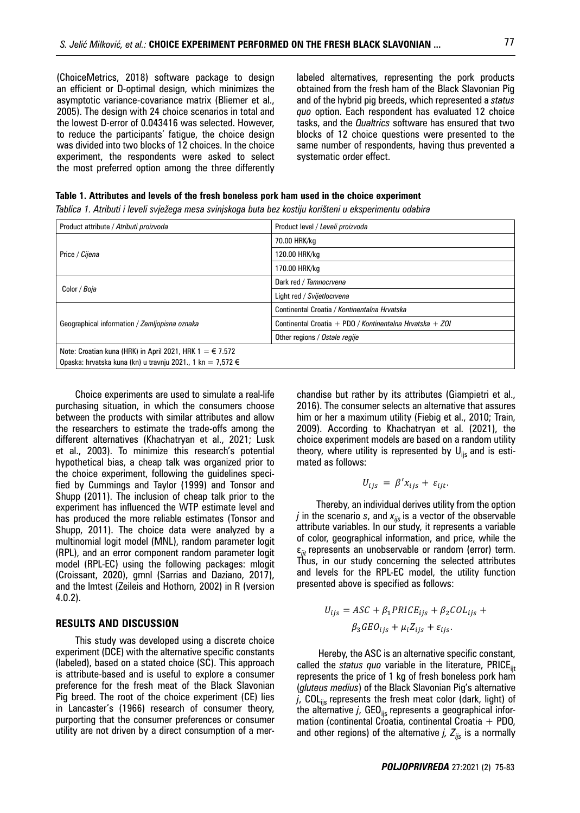(ChoiceMetrics, 2018) software package to design an efficient or D-optimal design, which minimizes the asymptotic variance-covariance matrix (Bliemer et al., 2005). The design with 24 choice scenarios in total and the lowest D-error of 0.043416 was selected. However, to reduce the participants' fatigue, the choice design was divided into two blocks of 12 choices. In the choice experiment, the respondents were asked to select the most preferred option among the three differently

labeled alternatives, representing the pork products obtained from the fresh ham of the Black Slavonian Pig and of the hybrid pig breeds, which represented a *status quo* option. Each respondent has evaluated 12 choice tasks, and the *Qualtrics* software has ensured that two blocks of 12 choice questions were presented to the same number of respondents, having thus prevented a systematic order effect.

#### **Table 1. Attributes and levels of the fresh boneless pork ham used in the choice experiment**

| Product attribute / Atributi proizvoda                            | Product level / Leveli proizvoda                         |  |  |
|-------------------------------------------------------------------|----------------------------------------------------------|--|--|
| Price / Cijena                                                    | 70.00 HRK/kg                                             |  |  |
|                                                                   | 120.00 HRK/kg                                            |  |  |
|                                                                   | 170.00 HRK/ka                                            |  |  |
| Color / Boja                                                      | Dark red / Tamnocrvena                                   |  |  |
|                                                                   | Light red / Svijetlocrvena                               |  |  |
| Geographical information / Zemljopisna oznaka                     | Continental Croatia / Kontinentalna Hrvatska             |  |  |
|                                                                   | Continental Croatia + PDO / Kontinentalna Hrvatska + ZOI |  |  |
|                                                                   | Other regions / Ostale regije                            |  |  |
| Note: Croatian kuna (HRK) in April 2021, HRK $1 = \epsilon$ 7.572 |                                                          |  |  |
| Opaska: hrvatska kuna (kn) u travnju 2021., 1 kn = 7,572 €        |                                                          |  |  |

*Tablica 1. Atributi i leveli svježega mesa svinjskoga buta bez kostiju korišteni u eksperimentu odabira*

Choice experiments are used to simulate a real-life purchasing situation, in which the consumers choose between the products with similar attributes and allow the researchers to estimate the trade-offs among the different alternatives (Khachatryan et al., 2021; Lusk et al., 2003). To minimize this research's potential hypothetical bias, a cheap talk was organized prior to the choice experiment, following the guidelines specified by Cummings and Taylor (1999) and Tonsor and Shupp (2011). The inclusion of cheap talk prior to the experiment has influenced the WTP estimate level and has produced the more reliable estimates (Tonsor and Shupp, 2011). The choice data were analyzed by a multinomial logit model (MNL), random parameter logit (RPL), and an error component random parameter logit model (RPL-EC) using the following packages: mlogit (Croissant, 2020), gmnl (Sarrias and Daziano, 2017), and the lmtest (Zeileis and Hothorn, 2002) in R (version 4.0.2).

# **RESULTS AND DISCUSSION**

This study was developed using a discrete choice experiment (DCE) with the alternative specific constants (labeled), based on a stated choice (SC). This approach is attribute-based and is useful to explore a consumer preference for the fresh meat of the Black Slavonian Pig breed. The root of the choice experiment (CE) lies in Lancaster's (1966) research of consumer theory, purporting that the consumer preferences or consumer utility are not driven by a direct consumption of a merchandise but rather by its attributes (Giampietri et al., 2016). The consumer selects an alternative that assures him or her a maximum utility (Fiebig et al., 2010; Train, 2009). According to Khachatryan et al. (2021), the choice experiment models are based on a random utility theory, where utility is represented by  $U_{\text{iis}}$  and is estimated as follows:

$$
U_{ijs} = \beta' x_{ijs} + \varepsilon_{ijt}.
$$

Thereby, an individual derives utility from the option *j* in the scenario *s*, and  $x_{ijs}$  is a vector of the observable attribute variables. In our study, it represents a variable of color, geographical information, and price, while the ε*ijt* represents an unobservable or random (error) term. Thus, in our study concerning the selected attributes and levels for the RPL-EC model, the utility function presented above is specified as follows:

$$
U_{ijs} = ASC + \beta_1 PRICE_{ijs} + \beta_2 COL_{ijs} +
$$

$$
\beta_3 GEO_{ijs} + \mu_i Z_{ijs} + \varepsilon_{ijs}.
$$

 Hereby, the ASC is an alternative specific constant, called the *status quo* variable in the literature, PRICE<sub>iit</sub> represents the price of 1 kg of fresh boneless pork ham (*gluteus medius*) of the Black Slavonian Pig's alternative  $j$ , COL<sub>iis</sub> represents the fresh meat color (dark, light) of the alternative  $j$ , GEO<sub>ijs</sub> represents a geographical information (continental Croatia, continental Croatia  $+$  PDO, and other regions) of the alternative  $j$ ,  $Z_{ijs}$  is a normally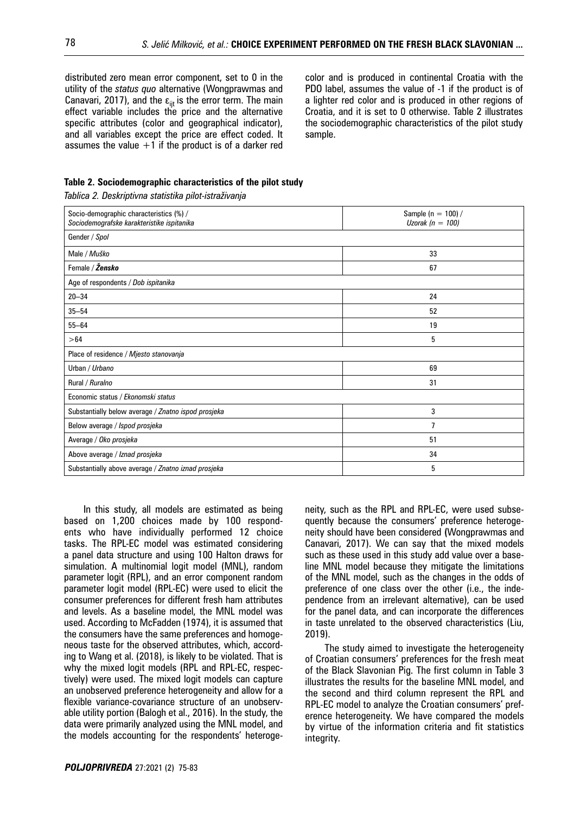distributed zero mean error component, set to 0 in the utility of the *status quo* alternative (Wongprawmas and Canavari, 2017), and the  $\varepsilon_{\text{int}}$  is the error term. The main effect variable includes the price and the alternative specific attributes (color and geographical indicator), and all variables except the price are effect coded. It assumes the value  $+1$  if the product is of a darker red color and is produced in continental Croatia with the PDO label, assumes the value of -1 if the product is of a lighter red color and is produced in other regions of Croatia, and it is set to 0 otherwise. Table 2 illustrates the sociodemographic characteristics of the pilot study sample.

# **Table 2. Sociodemographic characteristics of the pilot study**

*Tablica 2. Deskriptivna statistika pilot-istraživanja*

| Socio-demographic characteristics (%) /             | Sample ( $n = 100$ ) / |  |  |
|-----------------------------------------------------|------------------------|--|--|
| Sociodemografske karakteristike ispitanika          | Uzorak ( $n = 100$ )   |  |  |
| Gender / Spol                                       |                        |  |  |
| Male / Muško                                        | 33                     |  |  |
| Female / Žensko                                     | 67                     |  |  |
| Age of respondents / Dob ispitanika                 |                        |  |  |
| $20 - 34$                                           | 24                     |  |  |
| $35 - 54$                                           | 52                     |  |  |
| $55 - 64$                                           | 19                     |  |  |
| > 64                                                | 5                      |  |  |
| Place of residence / Mjesto stanovanja              |                        |  |  |
| Urban / Urbano                                      | 69                     |  |  |
| Rural / Ruralno                                     | 31                     |  |  |
| Economic status / Ekonomski status                  |                        |  |  |
| Substantially below average / Znatno ispod prosjeka | 3                      |  |  |
| Below average / Ispod prosjeka                      | 7                      |  |  |
| Average / Oko prosjeka                              | 51                     |  |  |
| Above average / Iznad prosjeka                      | 34                     |  |  |
| Substantially above average / Znatno iznad prosjeka | 5                      |  |  |

In this study, all models are estimated as being based on 1,200 choices made by 100 respondents who have individually performed 12 choice tasks. The RPL-EC model was estimated considering a panel data structure and using 100 Halton draws for simulation. A multinomial logit model (MNL), random parameter logit (RPL), and an error component random parameter logit model (RPL-EC) were used to elicit the consumer preferences for different fresh ham attributes and levels. As a baseline model, the MNL model was used. According to McFadden (1974), it is assumed that the consumers have the same preferences and homogeneous taste for the observed attributes, which, according to Wang et al. (2018), is likely to be violated. That is why the mixed logit models (RPL and RPL-EC, respectively) were used. The mixed logit models can capture an unobserved preference heterogeneity and allow for a flexible variance-covariance structure of an unobservable utility portion (Balogh et al., 2016). In the study, the data were primarily analyzed using the MNL model, and the models accounting for the respondents' heteroge-

neity, such as the RPL and RPL-EC, were used subsequently because the consumers' preference heterogeneity should have been considered **(**Wongprawmas and Canavari, 2017). We can say that the mixed models such as these used in this study add value over a baseline MNL model because they mitigate the limitations of the MNL model, such as the changes in the odds of preference of one class over the other (i.e., the independence from an irrelevant alternative), can be used for the panel data, and can incorporate the differences in taste unrelated to the observed characteristics (Liu, 2019).

The study aimed to investigate the heterogeneity of Croatian consumers' preferences for the fresh meat of the Black Slavonian Pig. The first column in Table 3 illustrates the results for the baseline MNL model, and the second and third column represent the RPL and RPL-EC model to analyze the Croatian consumers' preference heterogeneity. We have compared the models by virtue of the information criteria and fit statistics integrity.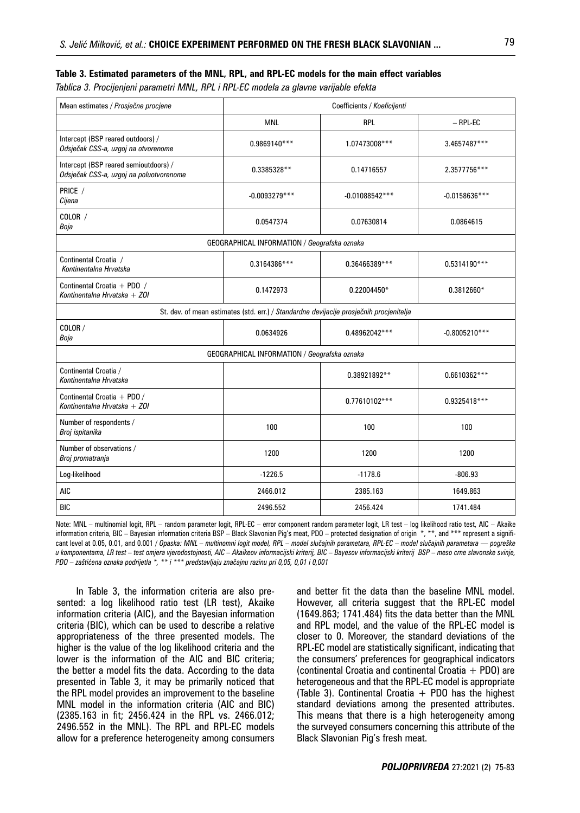### **Table 3. Estimated parameters of the MNL, RPL, and RPL-EC models for the main effect variables**

*Tablica 3. Procijenjeni parametri MNL, RPL i RPL-EC modela za glavne varijable efekta*

| Mean estimates / Prosječne procjene                                                     | Coefficients / Koeficijenti |                  |                 |  |
|-----------------------------------------------------------------------------------------|-----------------------------|------------------|-----------------|--|
|                                                                                         | <b>MNL</b>                  | RPL              | $-$ RPL-EC      |  |
| Intercept (BSP reared outdoors) /<br>Odsječak CSS-a, uzgoj na otvorenome                | 0.9869140***                | 1.07473008***    | 3.4657487***    |  |
| Intercept (BSP reared semioutdoors) /<br>Odsječak CSS-a, uzgoj na poluotvorenome        | 0.3385328**                 | 0.14716557       | 2.3577756***    |  |
| PRICE /<br>Cijena                                                                       | $-0.0093279***$             | $-0.01088542***$ | $-0.0158636***$ |  |
| COLOR /<br>Boja                                                                         | 0.0547374                   | 0.07630814       | 0.0864615       |  |
| GEOGRAPHICAL INFORMATION / Geografska oznaka                                            |                             |                  |                 |  |
| Continental Croatia /<br>Kontinentalna Hrvatska                                         | 0.3164386***                | 0.36466389***    | $0.5314190***$  |  |
| Continental Croatia + PDO /<br>Kontinentalna Hrvatska + ZOI                             | 0.1472973                   | $0.22004450*$    | $0.3812660*$    |  |
| St. dev. of mean estimates (std. err.) / Standardne devijacije prosječnih procjenitelja |                             |                  |                 |  |
| COLOR /<br>Boja                                                                         | 0.0634926                   | 0.48962042***    | $-0.8005210***$ |  |
| GEOGRAPHICAL INFORMATION / Geografska oznaka                                            |                             |                  |                 |  |
| Continental Croatia /<br>Kontinentalna Hrvatska                                         |                             | 0.38921892**     | 0.6610362***    |  |
| Continental Croatia + PDO /<br>Kontinentalna Hrvatska + ZOI                             |                             | $0.77610102***$  | 0.9325418***    |  |
| Number of respondents /<br>Broj ispitanika                                              | 100                         | 100              | 100             |  |
| Number of observations /<br>Broj promatranja                                            | 1200                        | 1200             | 1200            |  |
| Log-likelihood                                                                          | $-1226.5$                   | $-1178.6$        | $-806.93$       |  |
| <b>AIC</b>                                                                              | 2466.012                    | 2385.163         | 1649.863        |  |
| <b>BIC</b>                                                                              | 2496.552                    | 2456.424         | 1741.484        |  |

Note: MNL – multinomial logit, RPL – random parameter logit, RPL-EC – error component random parameter logit, LR test – log likelihood ratio test, AIC – Akaike information criteria, BIC – Bayesian information criteria BSP – Black Slavonian Pig's meat, PDO – protected designation of origin \*, \*\*, and \*\*\* represent a significant level at 0.05, 0.01, and 0.001 / *Opaska: MNL – multinomni logit model, RPL – model slučajnih parametara, RPL-EC – model slučajnih parametara — pogreške u komponentama, LR test – test omjera vjerodostojnosti, AIC – Akaikeov informacijski kriterij, BIC – Bayesov informacijski kriterij BSP – meso crne slavonske svinje, PDO – zaštićena oznaka podrijetla \*, \*\* i \*\*\* predstavljaju značajnu razinu pri 0,05, 0,01 i 0,001*

In Table 3, the information criteria are also presented: a log likelihood ratio test (LR test), Akaike information criteria (AIC), and the Bayesian information criteria (BIC), which can be used to describe a relative appropriateness of the three presented models. The higher is the value of the log likelihood criteria and the lower is the information of the AIC and BIC criteria; the better a model fits the data. According to the data presented in Table 3, it may be primarily noticed that the RPL model provides an improvement to the baseline MNL model in the information criteria (AIC and BIC) (2385.163 in fit; 2456.424 in the RPL vs. 2466.012; 2496.552 in the MNL). The RPL and RPL-EC models allow for a preference heterogeneity among consumers and better fit the data than the baseline MNL model. However, all criteria suggest that the RPL-EC model (1649.863; 1741.484) fits the data better than the MNL and RPL model, and the value of the RPL-EC model is closer to 0. Moreover, the standard deviations of the RPL-EC model are statistically significant, indicating that the consumers' preferences for geographical indicators (continental Croatia and continental Croatia  $+$  PDO) are heterogeneous and that the RPL-EC model is appropriate (Table 3). Continental Croatia  $+$  PDO has the highest standard deviations among the presented attributes. This means that there is a high heterogeneity among the surveyed consumers concerning this attribute of the Black Slavonian Pig's fresh meat.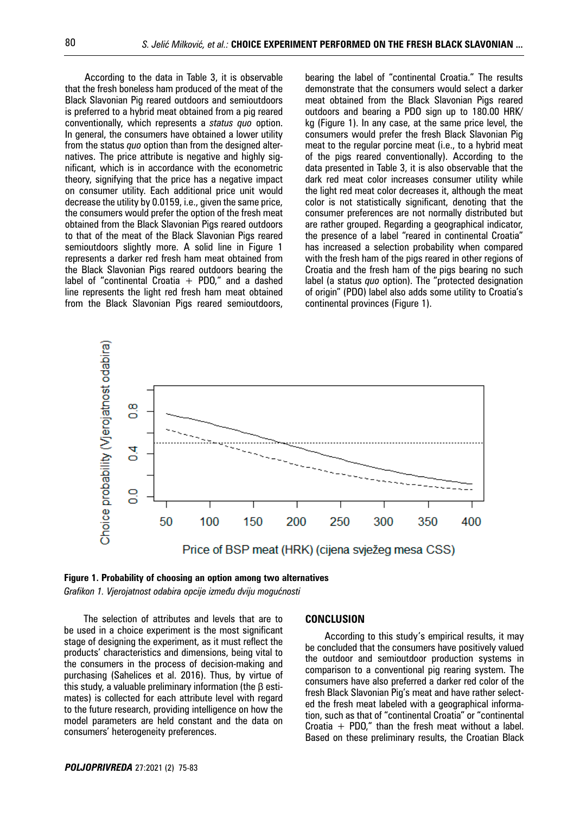According to the data in Table 3, it is observable that the fresh boneless ham produced of the meat of the Black Slavonian Pig reared outdoors and semioutdoors is preferred to a hybrid meat obtained from a pig reared conventionally, which represents a *status quo* option. In general, the consumers have obtained a lower utility from the status *quo* option than from the designed alternatives. The price attribute is negative and highly significant, which is in accordance with the econometric theory, signifying that the price has a negative impact on consumer utility. Each additional price unit would decrease the utility by 0.0159, i.e., given the same price, the consumers would prefer the option of the fresh meat obtained from the Black Slavonian Pigs reared outdoors to that of the meat of the Black Slavonian Pigs reared semioutdoors slightly more. A solid line in Figure 1 represents a darker red fresh ham meat obtained from the Black Slavonian Pigs reared outdoors bearing the label of "continental Croatia  $+$  PDO," and a dashed line represents the light red fresh ham meat obtained from the Black Slavonian Pigs reared semioutdoors,

bearing the label of "continental Croatia." The results demonstrate that the consumers would select a darker meat obtained from the Black Slavonian Pigs reared outdoors and bearing a PDO sign up to 180.00 HRK/ kg (Figure 1). In any case, at the same price level, the consumers would prefer the fresh Black Slavonian Pig meat to the regular porcine meat (i.e., to a hybrid meat of the pigs reared conventionally). According to the data presented in Table 3, it is also observable that the dark red meat color increases consumer utility while the light red meat color decreases it, although the meat color is not statistically significant, denoting that the consumer preferences are not normally distributed but are rather grouped. Regarding a geographical indicator, the presence of a label "reared in continental Croatia" has increased a selection probability when compared with the fresh ham of the pigs reared in other regions of Croatia and the fresh ham of the pigs bearing no such label (a status *quo* option). The "protected designation of origin" (PDO) label also adds some utility to Croatia's continental provinces (Figure 1).



**F igure 1. Probability of choosing an option among two alternatives**

*Grafikon 1. Vjerojatnost odabira opcije između dviju mogućnosti*

The selection of attributes and levels that are to be used in a choice experiment is the most significant stage of designing the experiment, as it must reflect the products' characteristics and dimensions, being vital to the consumers in the process of decision-making and purchasing (Sahelices et al. 2016). Thus, by virtue of this study, a valuable preliminary information (the β estimates) is collected for each attribute level with regard to the future research, providing intelligence on how the model parameters are held constant and the data on consumers' heterogeneity preferences.

#### **CONCLUSION**

According to this study's empirical results, it may be concluded that the consumers have positively valued the outdoor and semioutdoor production systems in comparison to a conventional pig rearing system. The consumers have also preferred a darker red color of the fresh Black Slavonian Pig's meat and have rather selected the fresh meat labeled with a geographical information, such as that of "continental Croatia" or "continental Croatia  $+$  PDO," than the fresh meat without a label. Based on these preliminary results, the Croatian Black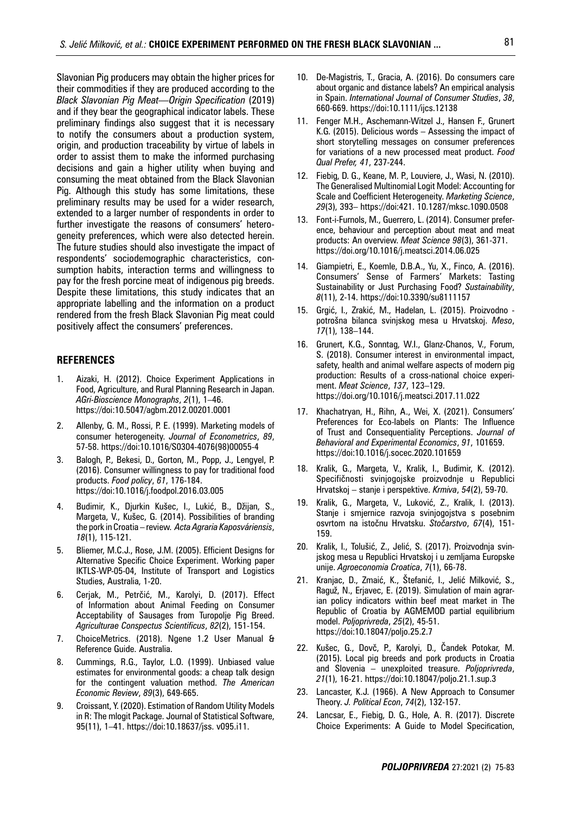Slavonian Pig producers may obtain the higher prices for their commodities if they are produced according to the *Black Slavonian Pig Meat—Origin Specification* (2019) and if they bear the geographical indicator labels. These preliminary findings also suggest that it is necessary to notify the consumers about a production system, origin, and production traceability by virtue of labels in order to assist them to make the informed purchasing decisions and gain a higher utility when buying and consuming the meat obtained from the Black Slavonian Pig. Although this study has some limitations, these preliminary results may be used for a wider research, extended to a larger number of respondents in order to further investigate the reasons of consumers' heterogeneity preferences, which were also detected herein. The future studies should also investigate the impact of respondents' sociodemographic characteristics, consumption habits, interaction terms and willingness to pay for the fresh porcine meat of indigenous pig breeds. Despite these limitations, this study indicates that an appropriate labelling and the information on a product rendered from the fresh Black Slavonian Pig meat could positively affect the consumers' preferences.

#### **REFERENCES**

- 1. Aizaki, H. (2012). Choice Experiment Applications in Food, Agriculture, and Rural Planning Research in Japan. *AGri-Bioscience Monographs*, *2*(1), 1–46. https://doi:10.5047/agbm.2012.00201.0001
- 2. Allenby, G. M., Rossi, P. E. (1999). Marketing models of consumer heterogeneity. *Journal of Econometrics*, *89*, 57-58. https://doi:10.1016/S0304-4076(98)00055-4
- 3. Balogh, P., Bekesi, D., Gorton, M., Popp, J., Lengyel, P. (2016). Consumer willingness to pay for traditional food products. *Food policy*, *61*, 176-184. https://doi:10.1016/j.foodpol.2016.03.005
- 4. Budimir, K., Djurkin Kušec, I., Lukić, B., Džijan, S., Margeta, V., Kušec, G. (2014). Possibilities of branding the pork in Croatia – review. *Acta Agraria Kaposváriensis*, *18*(1), 115-121.
- 5. Bliemer, M.C.J., Rose, J.M. (2005). Efficient Designs for Alternative Specific Choice Experiment. Working paper IKTLS-WP-05-04, Institute of Transport and Logistics Studies, Australia, 1-20.
- 6. Cerjak, M., Petrčić, M., Karolyi, D. (2017). Effect of Information about Animal Feeding on Consumer Acceptability of Sausages from Turopolje Pig Breed. *Agriculturae Conspectus Scientificus*, *82*(2), 151-154.
- 7. ChoiceMetrics. (2018). Ngene 1.2 User Manual & Reference Guide. Australia.
- 8. Cummings, R.G., Taylor, L.O. (1999). Unbiased value estimates for environmental goods: a cheap talk design for the contingent valuation method. *The American Economic Review*, *89*(3), 649-665.
- 9. Croissant, Y. (2020). Estimation of Random Utility Models in R: The mlogit Package. Journal of Statistical Software, 95(11), 1–41. https://doi:10.18637/jss. v095.i11.
- 10. De-Magistris, T., Gracia, A. (2016). Do consumers care about organic and distance labels? An empirical analysis in Spain. *International Journal of Consumer Studies*, *38*, 660-669. https://doi:10.1111/ijcs.12138
- 11. Fenger M.H., Aschemann-Witzel J., Hansen F., Grunert K.G. (2015). Delicious words – Assessing the impact of short storytelling messages on consumer preferences for variations of a new processed meat product. *Food Qual Prefer, 41*, 237-244.
- 12. Fiebig, D. G., Keane, M. P., Louviere, J., Wasi, N. (2010). The Generalised Multinomial Logit Model: Accounting for Scale and Coefficient Heterogeneity. *Marketing Science*, *29*(3), 393– https://doi:421. 10.1287/mksc.1090.0508
- 13. Font-i-Furnols, M., Guerrero, L. (2014). Consumer preference, behaviour and perception about meat and meat products: An overview. *Meat Science 98*(3), 361-371. https://doi.org/10.1016/j.meatsci.2014.06.025
- 14. Giampietri, E., Koemle, D.B.A., Yu, X., Finco, A. (2016). Consumers' Sense of Farmers' Markets: Tasting Sustainability or Just Purchasing Food? *Sustainability*, *8*(11), 2-14. https://doi:10.3390/su8111157
- 15. Grgić, I., Zrakić, M., Hadelan, L. (2015). Proizvodno potrošna bilanca svinjskog mesa u Hrvatskoj. *Meso*, *17*(1), 138–144.
- 16. Grunert, K.G., Sonntag, W.I., Glanz-Chanos, V., Forum, S. (2018). Consumer interest in environmental impact, safety, health and animal welfare aspects of modern pig production: Results of a cross-national choice experiment. *Meat Science*, *137*, 123–129. https://doi.org/10.1016/j.meatsci.2017.11.022
- 17. Khachatryan, H., Rihn, A., Wei, X. (2021). Consumers' Preferences for Eco-labels on Plants: The Influence of Trust and Consequentiality Perceptions. *Journal of Behavioral and Experimental Economics*, *91*, 101659. https://doi:10.1016/j.socec.2020.101659
- 18. Kralik, G., Margeta, V., Kralik, I., Budimir, K. (2012). Specifičnosti svinjogojske proizvodnje u Republici Hrvatskoj – stanje i perspektive. *Krmiva*, *54*(2), 59-70.
- 19. Kralik, G., Margeta, V., Luković, Z., Kralik, I. (2013). Stanje i smjernice razvoja svinjogojstva s posebnim osvrtom na istočnu Hrvatsku. *Stočarstvo*, *67*(4), 151- 159.
- 20. Kralik, I., Tolušić, Z., Jelić, S. (2017). Proizvodnja svinjskog mesa u Republici Hrvatskoj i u zemljama Europske unije. *Agroeconomia Croatica*, *7*(1), 66-78.
- 21. Kranjac, D., Zmaić, K., Štefanić, I., Jelić Milković, S., Raguž, N., Erjavec, E. (2019). Simulation of main agrarian policy indicators within beef meat market in The Republic of Croatia by AGMEMOD partial equilibrium model. *Poljoprivreda*, *25*(2), 45-51. https://doi:10.18047/poljo.25.2.7
- 22. Kušec, G., Dovč, P., Karolyi, D., Čandek Potokar, M. (2015). Local pig breeds and pork products in Croatia and Slovenia – unexploited treasure. *Poljoprivreda*, *21*(1), 16-21. https://doi:10.18047/poljo.21.1.sup.3
- 23. Lancaster, K.J. (1966). A New Approach to Consumer Theory. *J. Political Econ*, *74*(2), 132-157.
- 24. Lancsar, E., Fiebig, D. G., Hole, A. R. (2017). Discrete Choice Experiments: A Guide to Model Specification,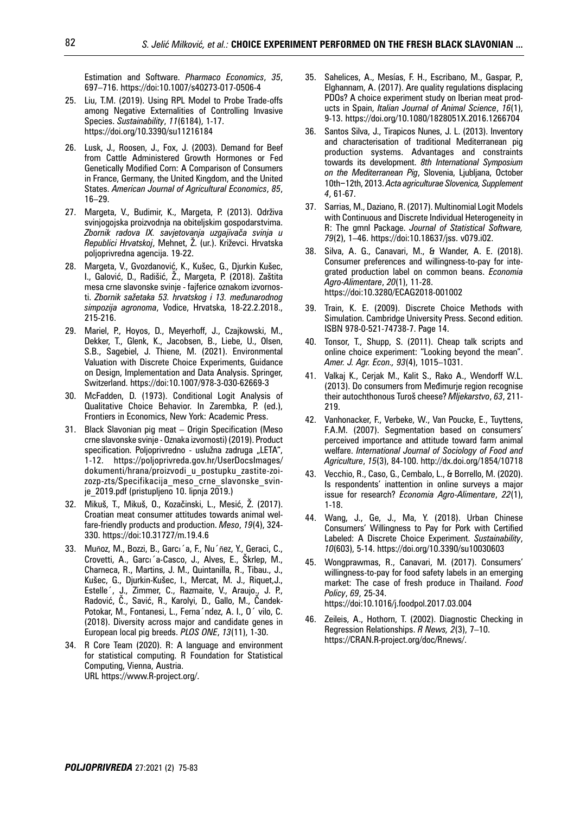Estimation and Software. *Pharmaco Economics*, *35*, 697–716. https://doi:10.1007/s40273-017-0506-4

- 25. Liu, T.M. (2019). Using RPL Model to Probe Trade-offs among Negative Externalities of Controlling Invasive Species. *Sustainability*, *11*(6184), 1-17. https://doi.org/10.3390/su11216184
- 26. Lusk, J., Roosen, J., Fox, J. (2003). Demand for Beef from Cattle Administered Growth Hormones or Fed Genetically Modified Corn: A Comparison of Consumers in France, Germany, the United Kingdom, and the United States. *American Journal of Agricultural Economics*, *85*, 16–29.
- 27. Margeta, V., Budimir, K., Margeta, P. (2013). Održiva svinjogojska proizvodnja na obiteljskim gospodarstvima. *Zbornik radova IX. savjetovanja uzgajivača svinja u Republici Hrvatskoj*, Mehnet, Ž. (ur.). Križevci. Hrvatska poljoprivredna agencija. 19-22.
- 28. Margeta, V., Gvozdanović, K., Kušec, G., Djurkin Kušec, I., Galović, D., Radišić, Ž., Margeta, P. (2018). Zaštita mesa crne slavonske svinje - fajferice oznakom izvornosti. *Zbornik sažetaka 53. hrvatskog i 13. međunarodnog simpozija agronoma*, Vodice, Hrvatska, 18-22.2.2018., 215-216.
- 29. Mariel, P., Hoyos, D., Meyerhoff, J., Czajkowski, M., Dekker, T., Glenk, K., Jacobsen, B., Liebe, U., Olsen, S.B., Sagebiel, J. Thiene, M. (2021). Environmental Valuation with Discrete Choice Experiments, Guidance on Design, Implementation and Data Analysis. Springer, Switzerland. https://doi:10.1007/978-3-030-62669-3
- 30. McFadden, D. (1973). Conditional Logit Analysis of Qualitative Choice Behavior. In Zarembka, P. (ed.), Frontiers in Economics, New York: Academic Press.
- 31. Black Slavonian pig meat Origin Specification (Meso crne slavonske svinje - Oznaka izvornosti) (2019). Product specification. Poljoprivredno - uslužna zadruga "LETA", 1-12. https://poljoprivreda.gov.hr/UserDocsImages/ dokumenti/hrana/proizvodi\_u\_postupku\_zastite-zoizozp-zts/Specifikacija\_meso\_crne\_slavonske\_svinje\_2019.pdf (pristupljeno 10. lipnja 2019.)
- 32. Mikuš, T., Mikuš, O., Kozačinski, L., Mesić, Ž. (2017). Croatian meat consumer attitudes towards animal welfare-friendly products and production. *Meso*, *19*(4), 324- 330. https://doi:10.31727/m.19.4.6
- 33. Muñoz, M., Bozzi, B., Garcı´a, F., Nu´ñez, Y., Geraci, C., Crovetti, A., Garcı´a-Casco, J., Alves, E., Škrlep, M., Charneca, R., Martins, J. M., Quintanilla, R., Tibau., J., Kušec, G., Djurkin-Kušec, I., Mercat, M. J., Riquet,J., Estelle´, J., Zimmer, C., Razmaite, V., Araujo., J. P., Radović, Č., Savić, R., Karolyi, D., Gallo, M., Čandek-Potokar, M., Fontanesi, L., Ferna´ndez, A. I., O´ vilo, C. (2018). Diversity across major and candidate genes in European local pig breeds. *PLOS ONE*, *13*(11), 1-30.
- 34. R Core Team (2020). R: A language and environment for statistical computing. R Foundation for Statistical Computing, Vienna, Austria. URL https://www.R-project.org/.
- 35. Sahelices, A., Mesías, F. H., Escribano, M., Gaspar, P., Elghannam, A. (2017). Are quality regulations displacing PDOs? A choice experiment study on Iberian meat products in Spain, *Italian Journal of Animal Science*, *16*(1), 9-13. https://doi.org/10.1080/1828051X.2016.1266704
- 36. Santos Silva, J., Tirapicos Nunes, J. L. (2013). Inventory and characterisation of traditional Mediterranean pig production systems. Advantages and constraints towards its development. *8th International Symposium on the Mediterranean Pig*, Slovenia, Ljubljana, October 10th−12th, 2013. *Acta agriculturae Slovenica, Supplement 4*, 61-67.
- 37. Sarrias, M., Daziano, R. (2017). Multinomial Logit Models with Continuous and Discrete Individual Heterogeneity in R: The gmnl Package. *Journal of Statistical Software, 79*(2), 1–46. https://doi:10.18637/jss. v079.i02.
- 38. Silva, A. G., Canavari, M., & Wander, A. E. (2018). Consumer preferences and willingness-to-pay for integrated production label on common beans. *Economia Agro-Alimentare*, *20*(1), 11-28. https://doi:10.3280/ECAG2018-001002
- 39. Train, K. E. (2009). Discrete Choice Methods with Simulation. Cambridge University Press. Second edition. ISBN 978-0-521-74738-7. Page 14.
- 40. Tonsor, T., Shupp, S. (2011). Cheap talk scripts and online choice experiment: "Looking beyond the mean". *Amer. J. Agr. Econ., 93*(4), 1015–1031.
- 41. Valkaj K., Cerjak M., Kalit S., Rako A., Wendorff W.L. (2013). Do consumers from Međimurje region recognise their autochthonous Turoš cheese? *Mljekarstvo*, *63*, 211- 219.
- 42. Vanhonacker, F., Verbeke, W., Van Poucke, E., Tuyttens, F.A.M. (2007). Segmentation based on consumers' perceived importance and attitude toward farm animal welfare. *International Journal of Sociology of Food and Agriculture*, *15*(3), 84-100. http://dx.doi.org/1854/10718
- 43. Vecchio, R., Caso, G., Cembalo, L., & Borrello, M. (2020). Is respondents' inattention in online surveys a major issue for research? *Economia Agro-Alimentare*, *22*(1), 1-18.
- 44. Wang, J., Ge, J., Ma, Y. (2018). Urban Chinese Consumers' Willingness to Pay for Pork with Certified Labeled: A Discrete Choice Experiment. *Sustainability*, *10*(603), 5-14. https://doi.org/10.3390/su10030603
- 45. Wongprawmas, R., Canavari, M. (2017). Consumers' willingness-to-pay for food safety labels in an emerging market: The case of fresh produce in Thailand. *Food Policy*, *69*, 25-34. https://doi:10.1016/j.foodpol.2017.03.004
- 46. Zeileis, A., Hothorn, T. (2002). Diagnostic Checking in Regression Relationships. *R News, 2*(3), 7–10. https://CRAN.R-project.org/doc/Rnews/.